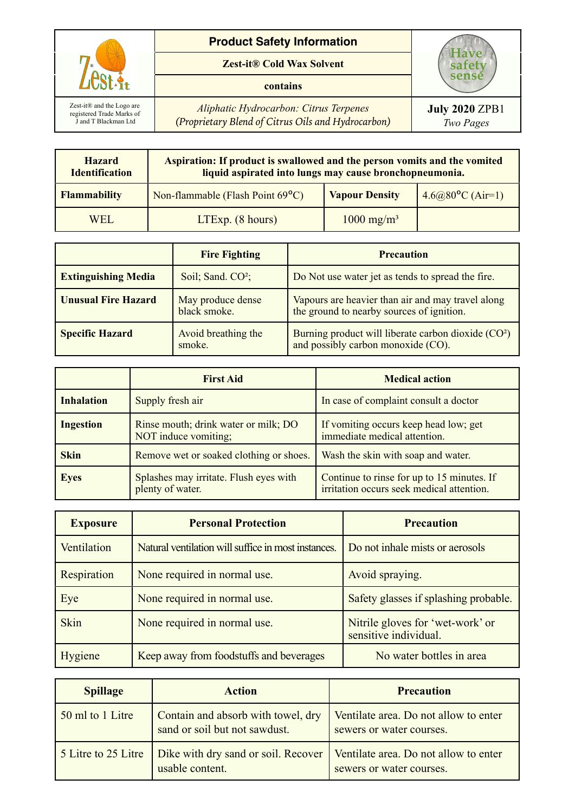

## **Product Safety Information**

**Zest-it® Cold Wax Solvent**

## **contains**

*Aliphatic Hydrocarbon: Citrus Terpenes (Proprietary Blend of Citrus Oils and Hydrocarbon)*

| <b>Hazard</b><br><b>Identification</b> | Aspiration: If product is swallowed and the person vomits and the vomited<br>liquid aspirated into lungs may cause bronchopneumonia. |                          |                              |
|----------------------------------------|--------------------------------------------------------------------------------------------------------------------------------------|--------------------------|------------------------------|
| <b>Flammability</b>                    | Non-flammable (Flash Point 69 <sup>o</sup> C)                                                                                        | <b>Vapour Density</b>    | $4.6(a)80^{\circ}$ C (Air=1) |
| <b>WEL</b>                             | $LTExp.$ (8 hours)                                                                                                                   | $1000$ mg/m <sup>3</sup> |                              |

|                            | <b>Fire Fighting</b>              | <b>Precaution</b>                                                                                     |
|----------------------------|-----------------------------------|-------------------------------------------------------------------------------------------------------|
| <b>Extinguishing Media</b> | Soil; Sand. $CO2$ ;               | Do Not use water jet as tends to spread the fire.                                                     |
| <b>Unusual Fire Hazard</b> | May produce dense<br>black smoke. | Vapours are heavier than air and may travel along<br>the ground to nearby sources of ignition.        |
| <b>Specific Hazard</b>     | Avoid breathing the<br>smoke.     | Burning product will liberate carbon dioxide (CO <sup>2</sup> )<br>and possibly carbon monoxide (CO). |

|                   | <b>First Aid</b>                                             | <b>Medical action</b>                                                                   |
|-------------------|--------------------------------------------------------------|-----------------------------------------------------------------------------------------|
| <b>Inhalation</b> | Supply fresh air                                             | In case of complaint consult a doctor                                                   |
| <b>Ingestion</b>  | Rinse mouth; drink water or milk; DO<br>NOT induce vomiting; | If vomiting occurs keep head low; get<br>immediate medical attention.                   |
| <b>Skin</b>       | Remove wet or soaked clothing or shoes.                      | Wash the skin with soap and water.                                                      |
| <b>Eyes</b>       | Splashes may irritate. Flush eyes with<br>plenty of water.   | Continue to rinse for up to 15 minutes. If<br>irritation occurs seek medical attention. |

| <b>Exposure</b> | <b>Personal Protection</b>                          | <b>Precaution</b>                                         |
|-----------------|-----------------------------------------------------|-----------------------------------------------------------|
| Ventilation     | Natural ventilation will suffice in most instances. | Do not inhale mists or aerosols                           |
| Respiration     | None required in normal use.                        | Avoid spraying.                                           |
| Eye             | None required in normal use.                        | Safety glasses if splashing probable.                     |
| <b>Skin</b>     | None required in normal use.                        | Nitrile gloves for 'wet-work' or<br>sensitive individual. |
| Hygiene         | Keep away from foodstuffs and beverages             | No water bottles in area                                  |

| <b>Spillage</b>     | <b>Action</b>                                                       | <b>Precaution</b>                                                 |
|---------------------|---------------------------------------------------------------------|-------------------------------------------------------------------|
| 50 ml to 1 Litre    | Contain and absorb with towel, dry<br>sand or soil but not sawdust. | Ventilate area. Do not allow to enter<br>sewers or water courses. |
| 5 Litre to 25 Litre | Dike with dry sand or soil. Recover<br>usable content.              | Ventilate area. Do not allow to enter<br>sewers or water courses. |